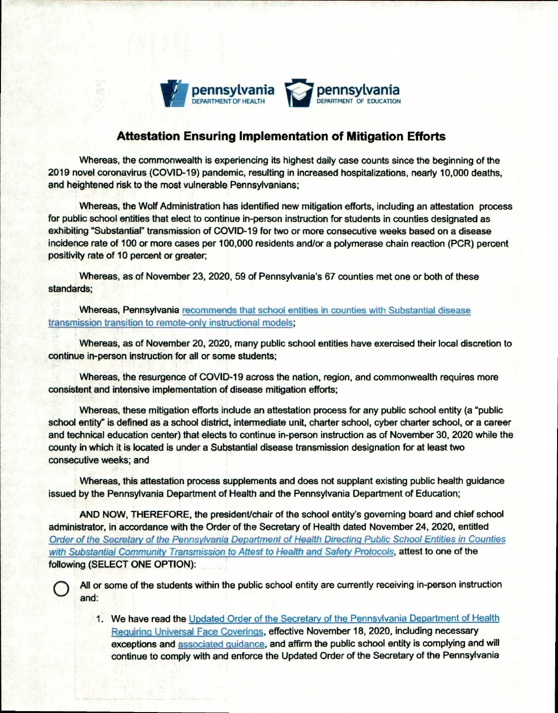

## **Attestation Ensuring Implementation of Mitigation Efforts**

Whereas, the commonwealth is experiencing its highest daily case counts since the beginning of the 2019 novel coronavirus (COVID-19) pandemic, resulting in increased hospitalizations, nearly 10,000 deaths, and heightened risk to the most vulnerable Pennsylvanians;

Whereas, the Wolf Administration has identified new mitigation efforts, including an attestation process for public school entities that elect to continue in-person instruction for students in counties designated as exhibiting "Substantial" transmission of COVID-19 for two or more consecutive weeks based on a disease incidence rate of 100 or more cases per 100,000 residents and/or a polymerase chain reaction (PCR) percent positivity rate of 10 percent or greater;

Whereas, as of November 23, 2020, 59 of Pennsylvania's 67 counties met one or both of these standards;

**Whereas, Pennsylvania** recommends that school entities in counties with Substantial disease transmission transition to remote-only instructional models;

Whereas, as of November 20, 2020, many public school entities have exercised their local discretion to continue in-person instruction for all or some students;

Whereas, the resurgence of COVID-19 across the nation, region, and commonwealth requires more consistent and intensive implementation of disease mitigation efforts;

Whereas, these mitigation efforts include an attestation process for any public school entity (a "public school entity" is defined as a school district, intermediate unit, charter school, cyber charter school, or a career and technical education center) that elects to continue in-person instruction as of November 30, 2020 while the county in which it is located is under a Substantial disease transmission designation for at least two consecutive weeks; and

Whereas, this attestation process supplements and does not supplant existing public health guidance issued by the Pennsylvania Department of Health and the Pennsylvania Department of Education;

AND NOW, THEREFORE, the president/chair of the school entity's governing board and chief school administrator, in accordance with the Order of the Secretary of Health dated November 24, 2020, entitled Order of the Secretary of the Pennsylvania Department of Health Directing Public School Entities in Counties with Substantial Community Transmission to Attest to Health and Safety Protocols, attest to one of the following (SELECT **ONE OPTION):** 

All or some of the students within the public school entity are currently receiving in-person instruction and:

1. We have read the Updated Order of the Secretary of the Pennsylvania Department of Health Requiring Universal Face Coverings, effective November 18, 2020, including necessary exceptions **and** associated guidance, and affirm the public school entity is complying and will continue to **comply with and enforce** the Updated Order of the Secretary of the Pennsylvania